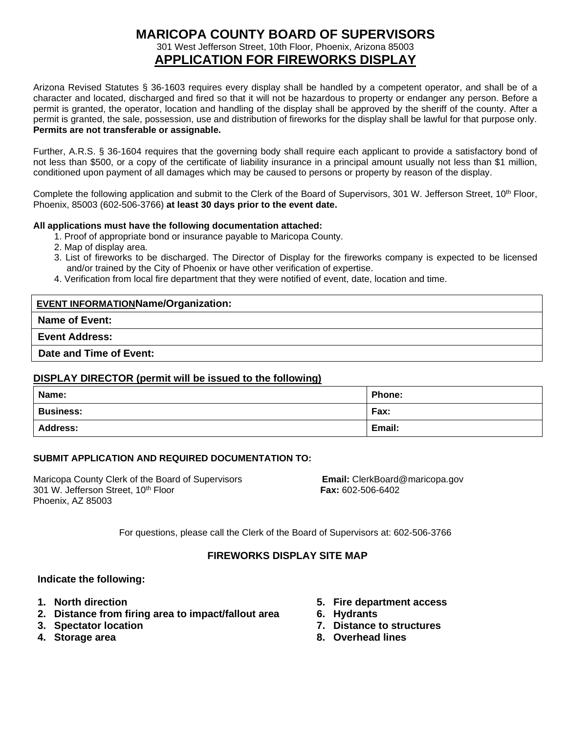## **MARICOPA COUNTY BOARD OF SUPERVISORS** 301 West Jefferson Street, 10th Floor, Phoenix, Arizona 85003 **APPLICATION FOR FIREWORKS DISPLAY**

Arizona Revised Statutes § 36-1603 requires every display shall be handled by a competent operator, and shall be of a character and located, discharged and fired so that it will not be hazardous to property or endanger any person. Before a permit is granted, the operator, location and handling of the display shall be approved by the sheriff of the county. After a permit is granted, the sale, possession, use and distribution of fireworks for the display shall be lawful for that purpose only. **Permits are not transferable or assignable.**

Further, A.R.S. § 36-1604 requires that the governing body shall require each applicant to provide a satisfactory bond of not less than \$500, or a copy of the certificate of liability insurance in a principal amount usually not less than \$1 million, conditioned upon payment of all damages which may be caused to persons or property by reason of the display.

Complete the following application and submit to the Clerk of the Board of Supervisors, 301 W. Jefferson Street, 10<sup>th</sup> Floor, Phoenix, 85003 (602-506-3766) **at least 30 days prior to the event date.**

#### **All applications must have the following documentation attached:**

- 1. Proof of appropriate bond or insurance payable to Maricopa County.
- 2. Map of display area.
- 3. List of fireworks to be discharged. The Director of Display for the fireworks company is expected to be licensed and/or trained by the City of Phoenix or have other verification of expertise.
- 4. Verification from local fire department that they were notified of event, date, location and time.

#### **EVENT INFORMATIONName/Organization:**

#### **Name of Event:**

**Event Address:**

**Date and Time of Event:**

#### **DISPLAY DIRECTOR (permit will be issued to the following)**

| Name:            | <b>Phone:</b> |
|------------------|---------------|
| <b>Business:</b> | Fax:          |
| <b>Address:</b>  | Email:        |

#### **SUBMIT APPLICATION AND REQUIRED DOCUMENTATION TO:**

Maricopa County Clerk of the Board of Supervisors **Email:** ClerkBoard@maricopa.gov<br>301 W. Jefferson Street, 10<sup>th</sup> Floor **Execution Clerk Fax:** 602-506-6402 301 W. Jefferson Street, 10<sup>th</sup> Floor Phoenix, AZ 85003

For questions, please call the Clerk of the Board of Supervisors at: 602-506-3766

#### **FIREWORKS DISPLAY SITE MAP**

#### **Indicate the following:**

- **1. North direction**
- **2. Distance from firing area to impact/fallout area**
- **3. Spectator location**
- **4. Storage area**
- **5. Fire department access**
- **6. Hydrants**
- **7. Distance to structures**
- **8. Overhead lines**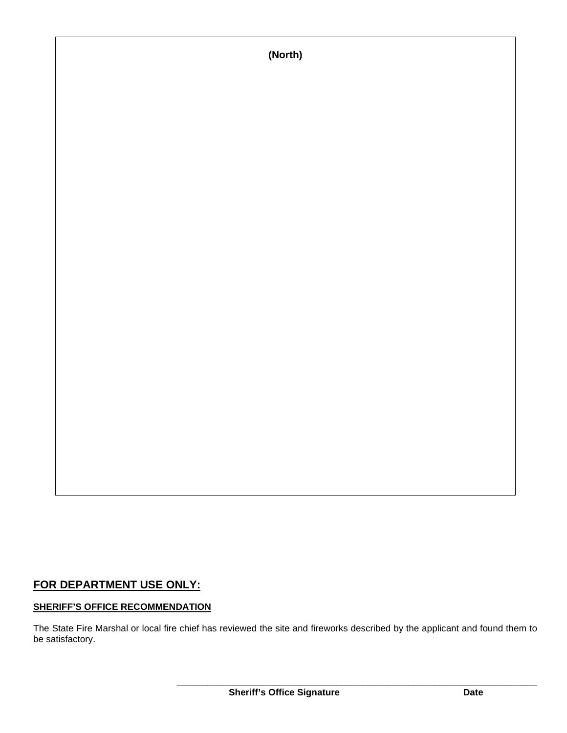## **FOR DEPARTMENT USE ONLY:**

### **SHERIFF'S OFFICE RECOMMENDATION**

The State Fire Marshal or local fire chief has reviewed the site and fireworks described by the applicant and found them to be satisfactory.

**(North)**